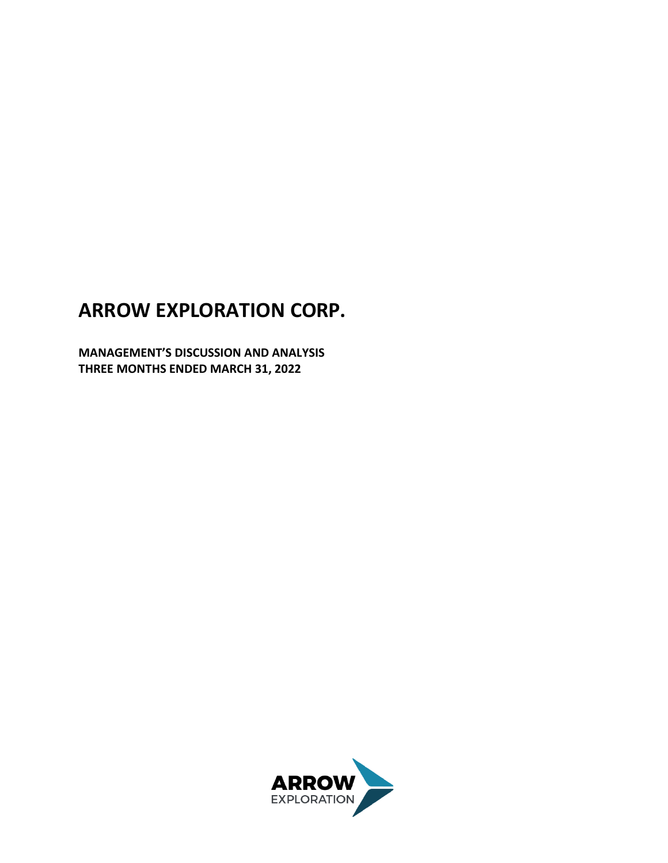# **ARROW EXPLORATION CORP.**

**MANAGEMENT'S DISCUSSION AND ANALYSIS THREE MONTHS ENDED MARCH 31, 2022**

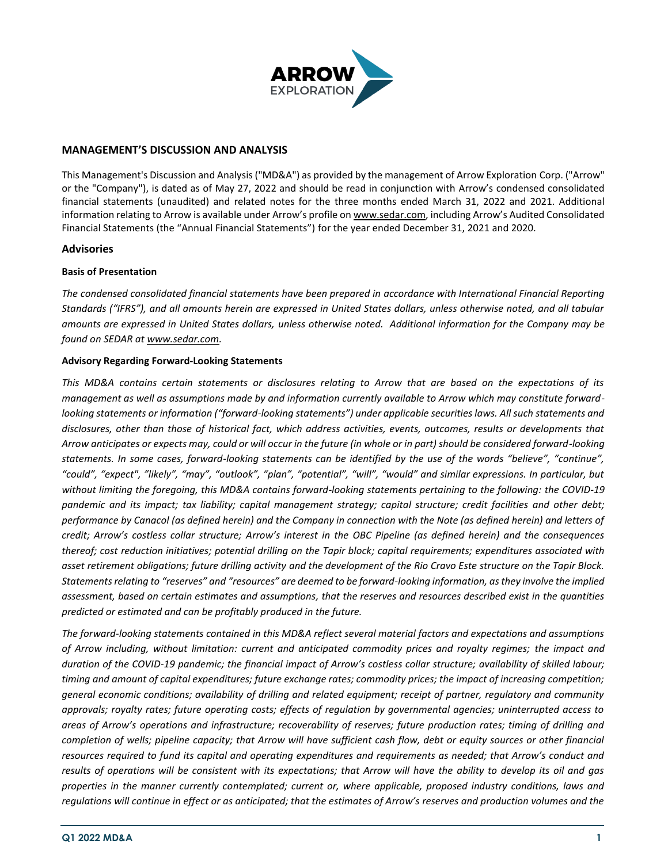

## **MANAGEMENT'S DISCUSSION AND ANALYSIS**

This Management's Discussion and Analysis ("MD&A") as provided by the management of Arrow Exploration Corp. ("Arrow" or the "Company"), is dated as of May 27, 2022 and should be read in conjunction with Arrow's condensed consolidated financial statements (unaudited) and related notes for the three months ended March 31, 2022 and 2021. Additional information relating to Arrow is available under Arrow's profile on [www.sedar.com,](http://www.sedar.com/) including Arrow's Audited Consolidated Financial Statements (the "Annual Financial Statements") for the year ended December 31, 2021 and 2020.

## **Advisories**

## **Basis of Presentation**

*The condensed consolidated financial statements have been prepared in accordance with International Financial Reporting Standards ("IFRS"), and all amounts herein are expressed in United States dollars, unless otherwise noted, and all tabular amounts are expressed in United States dollars, unless otherwise noted. Additional information for the Company may be found on SEDAR at www.sedar.com.* 

#### **Advisory Regarding Forward‐Looking Statements**

*This MD&A contains certain statements or disclosures relating to Arrow that are based on the expectations of its management as well as assumptions made by and information currently available to Arrow which may constitute forwardlooking statements or information ("forward-looking statements") under applicable securities laws. All such statements and disclosures, other than those of historical fact, which address activities, events, outcomes, results or developments that Arrow anticipates or expects may, could or will occur in the future (in whole or in part) should be considered forward-looking statements. In some cases, forward-looking statements can be identified by the use of the words "believe", "continue", "could", "expect", "likely", "may", "outlook", "plan", "potential", "will", "would" and similar expressions. In particular, but without limiting the foregoing, this MD&A contains forward-looking statements pertaining to the following: the COVID-19 pandemic and its impact; tax liability; capital management strategy; capital structure; credit facilities and other debt; performance by Canacol (as defined herein) and the Company in connection with the Note (as defined herein) and letters of credit; Arrow's costless collar structure; Arrow's interest in the OBC Pipeline (as defined herein) and the consequences thereof; cost reduction initiatives; potential drilling on the Tapir block; capital requirements; expenditures associated with asset retirement obligations; future drilling activity and the development of the Rio Cravo Este structure on the Tapir Block. Statements relating to "reserves" and "resources" are deemed to be forward-looking information, as they involve the implied assessment, based on certain estimates and assumptions, that the reserves and resources described exist in the quantities predicted or estimated and can be profitably produced in the future.*

*The forward-looking statements contained in this MD&A reflect several material factors and expectations and assumptions of Arrow including, without limitation: current and anticipated commodity prices and royalty regimes; the impact and*  duration of the COVID-19 pandemic; the financial impact of Arrow's costless collar structure; availability of skilled labour; *timing and amount of capital expenditures; future exchange rates; commodity prices; the impact of increasing competition; general economic conditions; availability of drilling and related equipment; receipt of partner, regulatory and community approvals; royalty rates; future operating costs; effects of regulation by governmental agencies; uninterrupted access to areas of Arrow's operations and infrastructure; recoverability of reserves; future production rates; timing of drilling and completion of wells; pipeline capacity; that Arrow will have sufficient cash flow, debt or equity sources or other financial resources required to fund its capital and operating expenditures and requirements as needed; that Arrow's conduct and results of operations will be consistent with its expectations; that Arrow will have the ability to develop its oil and gas properties in the manner currently contemplated; current or, where applicable, proposed industry conditions, laws and regulations will continue in effect or as anticipated; that the estimates of Arrow's reserves and production volumes and the*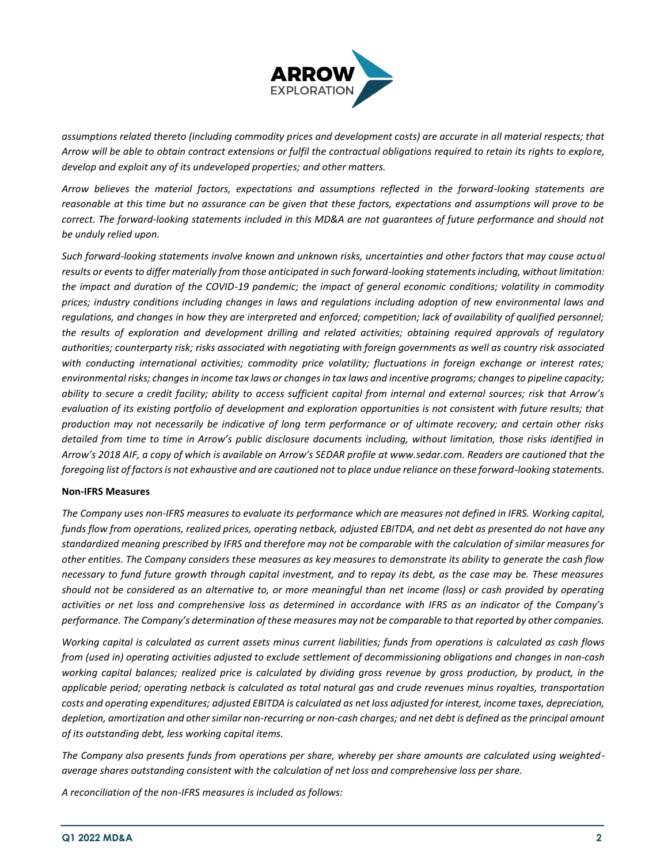

*assumptions related thereto (including commodity prices and development costs) are accurate in all material respects; that Arrow will be able to obtain contract extensions or fulfil the contractual obligations required to retain its rights to explore, develop and exploit any of its undeveloped properties; and other matters.*

*Arrow believes the material factors, expectations and assumptions reflected in the forward-looking statements are reasonable at this time but no assurance can be given that these factors, expectations and assumptions will prove to be correct. The forward-looking statements included in this MD&A are not guarantees of future performance and should not be unduly relied upon.* 

*Such forward-looking statements involve known and unknown risks, uncertainties and other factors that may cause actual results or events to differ materially from those anticipated in such forward-looking statements including, without limitation:*  the impact and duration of the COVID-19 pandemic; the impact of general economic conditions; volatility in commodity *prices; industry conditions including changes in laws and regulations including adoption of new environmental laws and regulations, and changes in how they are interpreted and enforced; competition; lack of availability of qualified personnel; the results of exploration and development drilling and related activities; obtaining required approvals of regulatory authorities; counterparty risk; risks associated with negotiating with foreign governments as well as country risk associated with conducting international activities; commodity price volatility; fluctuations in foreign exchange or interest rates; environmental risks; changes in income tax laws or changes in tax laws and incentive programs; changes to pipeline capacity; ability to secure a credit facility; ability to access sufficient capital from internal and external sources; risk that Arrow's evaluation of its existing portfolio of development and exploration opportunities is not consistent with future results; that production may not necessarily be indicative of long term performance or of ultimate recovery; and certain other risks detailed from time to time in Arrow's public disclosure documents including, without limitation, those risks identified in Arrow's 2018 AIF, a copy of which is available on Arrow's SEDAR profile at www.sedar.com. Readers are cautioned that the foregoing list of factors is not exhaustive and are cautioned not to place undue reliance on these forward-looking statements.* 

#### **Non‐IFRS Measures**

*The Company uses non-IFRS measures to evaluate its performance which are measures not defined in IFRS. Working capital, funds flow from operations, realized prices, operating netback, adjusted EBITDA, and net debt as presented do not have any standardized meaning prescribed by IFRS and therefore may not be comparable with the calculation of similar measures for other entities. The Company considers these measures as key measures to demonstrate its ability to generate the cash flow necessary to fund future growth through capital investment, and to repay its debt, as the case may be. These measures should not be considered as an alternative to, or more meaningful than net income (loss) or cash provided by operating activities or net loss and comprehensive loss as determined in accordance with IFRS as an indicator of the Company's performance. The Company's determination of these measures may not be comparable to that reported by other companies.*

*Working capital is calculated as current assets minus current liabilities; funds from operations is calculated as cash flows from (used in) operating activities adjusted to exclude settlement of decommissioning obligations and changes in non-cash working capital balances; realized price is calculated by dividing gross revenue by gross production, by product, in the applicable period; operating netback is calculated as total natural gas and crude revenues minus royalties, transportation costs and operating expenditures; adjusted EBITDA is calculated as net loss adjusted for interest, income taxes, depreciation, depletion, amortization and other similar non-recurring or non-cash charges; and net debt is defined as the principal amount of its outstanding debt, less working capital items.*

*The Company also presents funds from operations per share, whereby per share amounts are calculated using weightedaverage shares outstanding consistent with the calculation of net loss and comprehensive loss per share.*

*A reconciliation of the non-IFRS measures is included as follows:*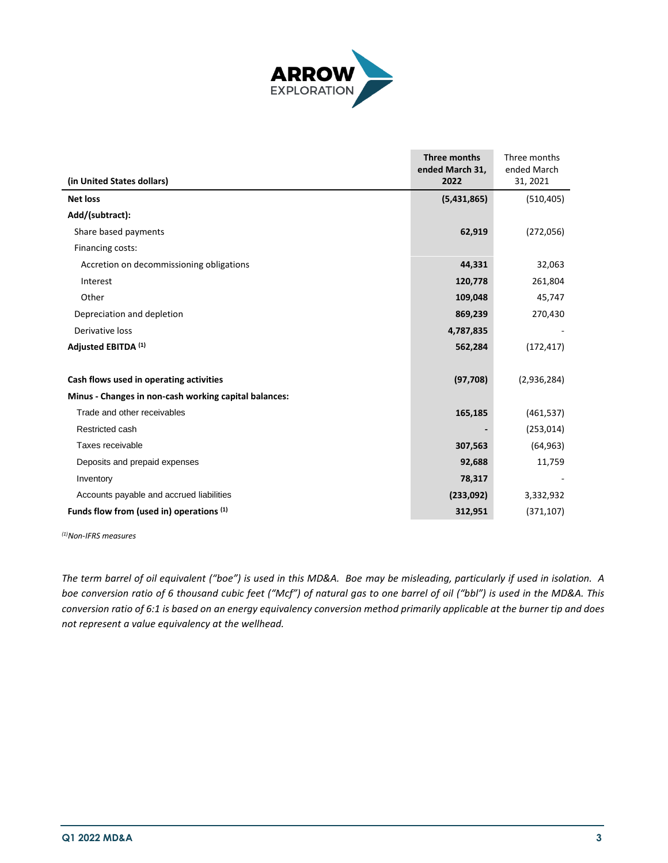

|                                                       | Three months<br>ended March 31, | Three months<br>ended March |
|-------------------------------------------------------|---------------------------------|-----------------------------|
| (in United States dollars)                            | 2022                            | 31, 2021                    |
| <b>Net loss</b>                                       | (5,431,865)                     | (510, 405)                  |
| Add/(subtract):                                       |                                 |                             |
| Share based payments                                  | 62,919                          | (272,056)                   |
| Financing costs:                                      |                                 |                             |
| Accretion on decommissioning obligations              | 44,331                          | 32,063                      |
| Interest                                              | 120,778                         | 261,804                     |
| Other                                                 | 109,048                         | 45,747                      |
| Depreciation and depletion                            | 869,239                         | 270,430                     |
| Derivative loss                                       | 4,787,835                       |                             |
| Adjusted EBITDA (1)                                   | 562,284                         | (172, 417)                  |
|                                                       |                                 |                             |
| Cash flows used in operating activities               | (97, 708)                       | (2,936,284)                 |
| Minus - Changes in non-cash working capital balances: |                                 |                             |
| Trade and other receivables                           | 165,185                         | (461, 537)                  |
| Restricted cash                                       |                                 | (253, 014)                  |
| Taxes receivable                                      | 307,563                         | (64, 963)                   |
| Deposits and prepaid expenses                         | 92,688                          | 11,759                      |
| Inventory                                             | 78,317                          |                             |
| Accounts payable and accrued liabilities              | (233,092)                       | 3,332,932                   |
| Funds flow from (used in) operations (1)              | 312,951                         | (371, 107)                  |

*(1)Non-IFRS measures*

*The term barrel of oil equivalent ("boe") is used in this MD&A. Boe may be misleading, particularly if used in isolation. A boe conversion ratio of 6 thousand cubic feet ("Mcf") of natural gas to one barrel of oil ("bbl") is used in the MD&A. This conversion ratio of 6:1 is based on an energy equivalency conversion method primarily applicable at the burner tip and does not represent a value equivalency at the wellhead.*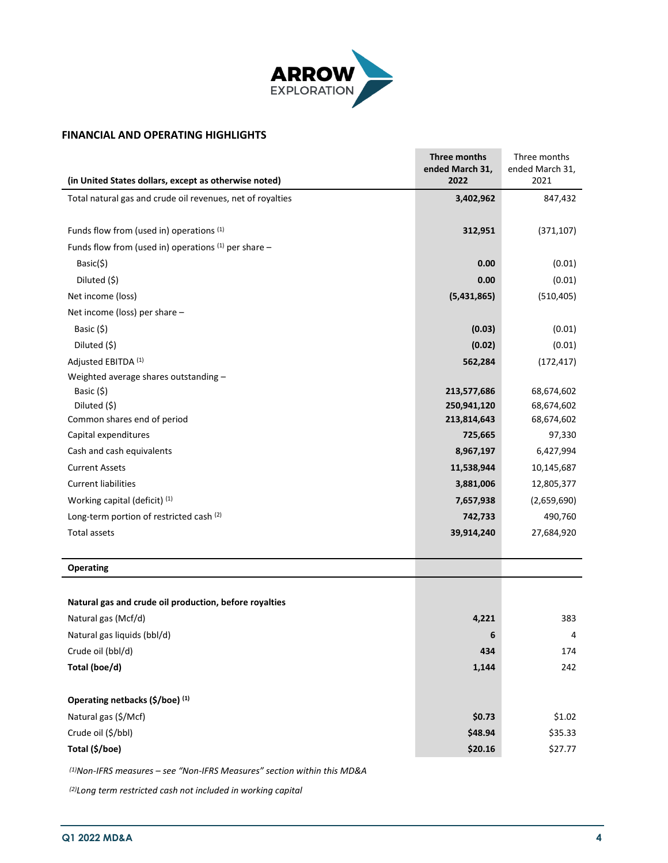

# **FINANCIAL AND OPERATING HIGHLIGHTS**

| (in United States dollars, except as otherwise noted)      | Three months<br>ended March 31,<br>2022 | Three months<br>ended March 31,<br>2021 |
|------------------------------------------------------------|-----------------------------------------|-----------------------------------------|
| Total natural gas and crude oil revenues, net of royalties | 3,402,962                               | 847,432                                 |
|                                                            |                                         |                                         |
| Funds flow from (used in) operations (1)                   | 312,951                                 | (371, 107)                              |
| Funds flow from (used in) operations $(1)$ per share -     |                                         |                                         |
| Basic(\$)                                                  | 0.00                                    | (0.01)                                  |
| Diluted (\$)                                               | 0.00                                    | (0.01)                                  |
| Net income (loss)                                          | (5,431,865)                             | (510, 405)                              |
| Net income (loss) per share -                              |                                         |                                         |
| Basic (\$)                                                 | (0.03)                                  | (0.01)                                  |
| Diluted (\$)                                               | (0.02)                                  | (0.01)                                  |
| Adjusted EBITDA (1)                                        | 562,284                                 | (172, 417)                              |
| Weighted average shares outstanding -                      |                                         |                                         |
| Basic (\$)                                                 | 213,577,686                             | 68,674,602                              |
| Diluted (\$)                                               | 250,941,120                             | 68,674,602                              |
| Common shares end of period                                | 213,814,643                             | 68,674,602                              |
| Capital expenditures                                       | 725,665                                 | 97,330                                  |
| Cash and cash equivalents                                  | 8,967,197                               | 6,427,994                               |
| <b>Current Assets</b>                                      | 11,538,944                              | 10,145,687                              |
| <b>Current liabilities</b>                                 | 3,881,006                               | 12,805,377                              |
| Working capital (deficit) (1)                              | 7,657,938                               | (2,659,690)                             |
| Long-term portion of restricted cash (2)                   | 742,733                                 | 490,760                                 |
| Total assets                                               | 39,914,240                              | 27,684,920                              |
|                                                            |                                         |                                         |
| <b>Operating</b>                                           |                                         |                                         |
|                                                            |                                         |                                         |
| Natural gas and crude oil production, before royalties     |                                         |                                         |
| Natural gas (Mcf/d)                                        | 4,221                                   | 383                                     |
| Natural gas liquids (bbl/d)                                | 6                                       | 4                                       |
| Crude oil (bbl/d)                                          | 434                                     | 174                                     |
| Total (boe/d)                                              | 1,144                                   | 242                                     |
|                                                            |                                         |                                         |
| Operating netbacks (\$/boe) (1)                            |                                         |                                         |
| Natural gas (\$/Mcf)                                       | \$0.73                                  | \$1.02                                  |
| Crude oil (\$/bbl)                                         | \$48.94                                 | \$35.33                                 |
| Total (\$/boe)                                             | \$20.16                                 | \$27.77                                 |

*(1)Non-IFRS measures – see "Non-IFRS Measures" section within this MD&A*

*(2)Long term restricted cash not included in working capital*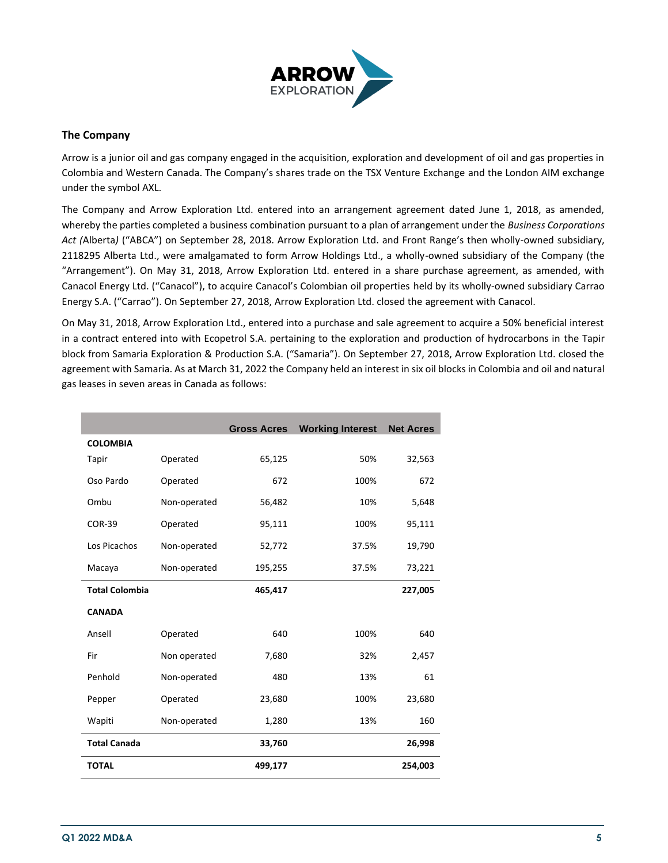

# **The Company**

Arrow is a junior oil and gas company engaged in the acquisition, exploration and development of oil and gas properties in Colombia and Western Canada. The Company's shares trade on the TSX Venture Exchange and the London AIM exchange under the symbol AXL.

The Company and Arrow Exploration Ltd. entered into an arrangement agreement dated June 1, 2018, as amended, whereby the parties completed a business combination pursuant to a plan of arrangement under the *Business Corporations Act (*Alberta*)* ("ABCA") on September 28, 2018. Arrow Exploration Ltd. and Front Range's then wholly-owned subsidiary, 2118295 Alberta Ltd., were amalgamated to form Arrow Holdings Ltd., a wholly-owned subsidiary of the Company (the "Arrangement"). On May 31, 2018, Arrow Exploration Ltd. entered in a share purchase agreement, as amended, with Canacol Energy Ltd. ("Canacol"), to acquire Canacol's Colombian oil properties held by its wholly-owned subsidiary Carrao Energy S.A. ("Carrao"). On September 27, 2018, Arrow Exploration Ltd. closed the agreement with Canacol.

On May 31, 2018, Arrow Exploration Ltd., entered into a purchase and sale agreement to acquire a 50% beneficial interest in a contract entered into with Ecopetrol S.A. pertaining to the exploration and production of hydrocarbons in the Tapir block from Samaria Exploration & Production S.A. ("Samaria"). On September 27, 2018, Arrow Exploration Ltd. closed the agreement with Samaria. As at March 31, 2022 the Company held an interest in six oil blocks in Colombia and oil and natural gas leases in seven areas in Canada as follows:

|                       |              | <b>Gross Acres</b> | <b>Working Interest</b> | <b>Net Acres</b> |
|-----------------------|--------------|--------------------|-------------------------|------------------|
| <b>COLOMBIA</b>       |              |                    |                         |                  |
| Tapir                 | Operated     | 65,125             | 50%                     | 32,563           |
| Oso Pardo             | Operated     | 672                | 100%                    | 672              |
| Ombu                  | Non-operated | 56,482             | 10%                     | 5,648            |
| <b>COR-39</b>         | Operated     | 95,111             | 100%                    | 95,111           |
| Los Picachos          | Non-operated | 52,772             | 37.5%                   | 19,790           |
| Macaya                | Non-operated | 195,255            | 37.5%                   | 73,221           |
| <b>Total Colombia</b> |              | 465,417            |                         | 227,005          |
| <b>CANADA</b>         |              |                    |                         |                  |
| Ansell                | Operated     | 640                | 100%                    | 640              |
| Fir                   | Non operated | 7,680              | 32%                     | 2,457            |
| Penhold               | Non-operated | 480                | 13%                     | 61               |
| Pepper                | Operated     | 23,680             | 100%                    | 23,680           |
| Wapiti                | Non-operated | 1,280              | 13%                     | 160              |
| <b>Total Canada</b>   |              | 33,760             |                         | 26,998           |
| <b>TOTAL</b>          |              | 499,177            |                         | 254,003          |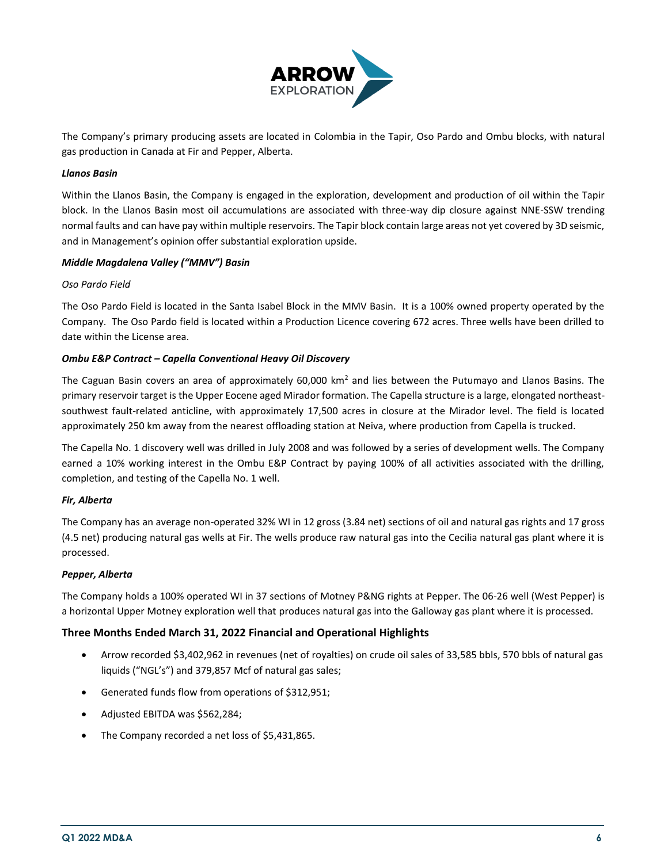

The Company's primary producing assets are located in Colombia in the Tapir, Oso Pardo and Ombu blocks, with natural gas production in Canada at Fir and Pepper, Alberta.

## *Llanos Basin*

Within the Llanos Basin, the Company is engaged in the exploration, development and production of oil within the Tapir block. In the Llanos Basin most oil accumulations are associated with three-way dip closure against NNE-SSW trending normal faults and can have pay within multiple reservoirs. The Tapir block contain large areas not yet covered by 3D seismic, and in Management's opinion offer substantial exploration upside.

## *Middle Magdalena Valley ("MMV") Basin*

## *Oso Pardo Field*

The Oso Pardo Field is located in the Santa Isabel Block in the MMV Basin. It is a 100% owned property operated by the Company. The Oso Pardo field is located within a Production Licence covering 672 acres. Three wells have been drilled to date within the License area.

## *Ombu E&P Contract – Capella Conventional Heavy Oil Discovery*

The Caguan Basin covers an area of approximately 60,000 km<sup>2</sup> and lies between the Putumayo and Llanos Basins. The primary reservoir target is the Upper Eocene aged Mirador formation. The Capella structure is a large, elongated northeastsouthwest fault-related anticline, with approximately 17,500 acres in closure at the Mirador level. The field is located approximately 250 km away from the nearest offloading station at Neiva, where production from Capella is trucked.

The Capella No. 1 discovery well was drilled in July 2008 and was followed by a series of development wells. The Company earned a 10% working interest in the Ombu E&P Contract by paying 100% of all activities associated with the drilling, completion, and testing of the Capella No. 1 well.

## *Fir, Alberta*

The Company has an average non-operated 32% WI in 12 gross (3.84 net) sections of oil and natural gas rights and 17 gross (4.5 net) producing natural gas wells at Fir. The wells produce raw natural gas into the Cecilia natural gas plant where it is processed.

#### *Pepper, Alberta*

The Company holds a 100% operated WI in 37 sections of Motney P&NG rights at Pepper. The 06-26 well (West Pepper) is a horizontal Upper Motney exploration well that produces natural gas into the Galloway gas plant where it is processed.

## **Three Months Ended March 31, 2022 Financial and Operational Highlights**

- Arrow recorded \$3,402,962 in revenues (net of royalties) on crude oil sales of 33,585 bbls, 570 bbls of natural gas liquids ("NGL's") and 379,857 Mcf of natural gas sales;
- Generated funds flow from operations of \$312,951;
- Adjusted EBITDA was \$562,284;
- The Company recorded a net loss of \$5,431,865.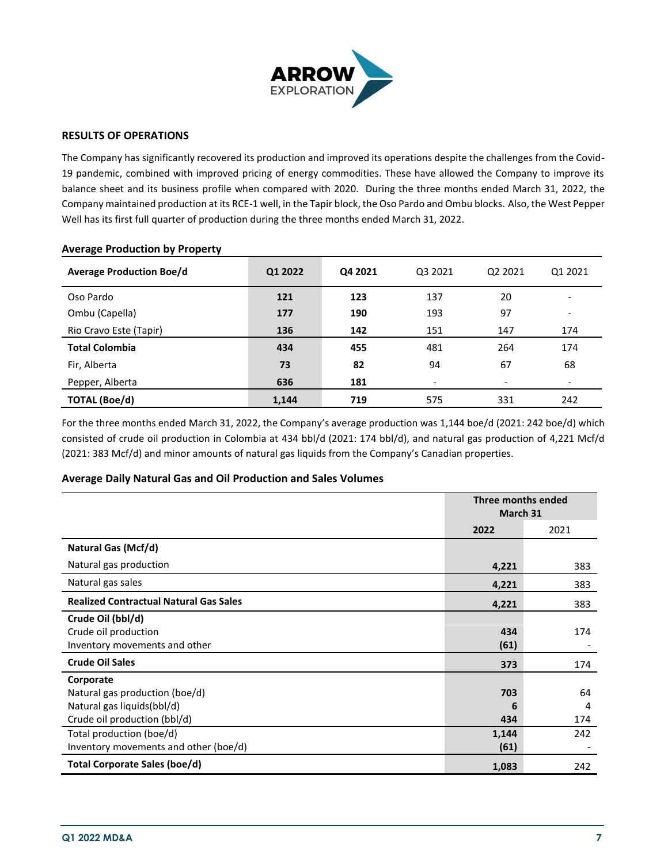

## **RESULTS OF OPERATIONS**

The Company has significantly recovered its production and improved its operations despite the challenges from the Covid-19 pandemic, combined with improved pricing of energy commodities. These have allowed the Company to improve its balance sheet and its business profile when compared with 2020. During the three months ended March 31, 2022, the Company maintained production at its RCE-1 well, in the Tapir block, the Oso Pardo and Ombu blocks. Also, the West Pepper Well has its first full quarter of production during the three months ended March 31, 2022.

| <b>Average Production Boe/d</b> | Q1 2022 | Q4 2021 | Q3 2021                      | Q2 2021                  | Q1 2021                  |
|---------------------------------|---------|---------|------------------------------|--------------------------|--------------------------|
| Oso Pardo                       | 121     | 123     | 137                          | 20                       |                          |
| Ombu (Capella)                  | 177     | 190     | 193                          | 97                       | $\overline{\phantom{0}}$ |
| Rio Cravo Este (Tapir)          | 136     | 142     | 151                          | 147                      | 174                      |
| <b>Total Colombia</b>           | 434     | 455     | 481                          | 264                      | 174                      |
| Fir, Alberta                    | 73      | 82      | 94                           | 67                       | 68                       |
| Pepper, Alberta                 | 636     | 181     | $\qquad \qquad \blacksquare$ | $\overline{\phantom{a}}$ |                          |
| <b>TOTAL (Boe/d)</b>            | 1.144   | 719     | 575                          | 331                      | 242                      |

## **Average Production by Property**

For the three months ended March 31, 2022, the Company's average production was 1,144 boe/d (2021: 242 boe/d) which consisted of crude oil production in Colombia at 434 bbl/d (2021: 174 bbl/d), and natural gas production of 4,221 Mcf/d (2021: 383 Mcf/d) and minor amounts of natural gas liquids from the Company's Canadian properties.

## **Average Daily Natural Gas and Oil Production and Sales Volumes**

|                                                                                                           | Three months ended<br>March 31 |                |
|-----------------------------------------------------------------------------------------------------------|--------------------------------|----------------|
|                                                                                                           | 2022                           | 2021           |
| Natural Gas (Mcf/d)                                                                                       |                                |                |
| Natural gas production                                                                                    | 4,221                          | 383            |
| Natural gas sales                                                                                         | 4,221                          | 383            |
| <b>Realized Contractual Natural Gas Sales</b>                                                             | 4,221                          | 383            |
| Crude Oil (bbl/d)<br>Crude oil production<br>Inventory movements and other                                | 434<br>(61)                    | 174            |
| <b>Crude Oil Sales</b>                                                                                    | 373                            | 174            |
| Corporate<br>Natural gas production (boe/d)<br>Natural gas liquids(bbl/d)<br>Crude oil production (bbl/d) | 703<br>6<br>434                | 64<br>4<br>174 |
| Total production (boe/d)<br>Inventory movements and other (boe/d)                                         | 1,144<br>(61)                  | 242            |
| Total Corporate Sales (boe/d)                                                                             | 1,083                          | 242            |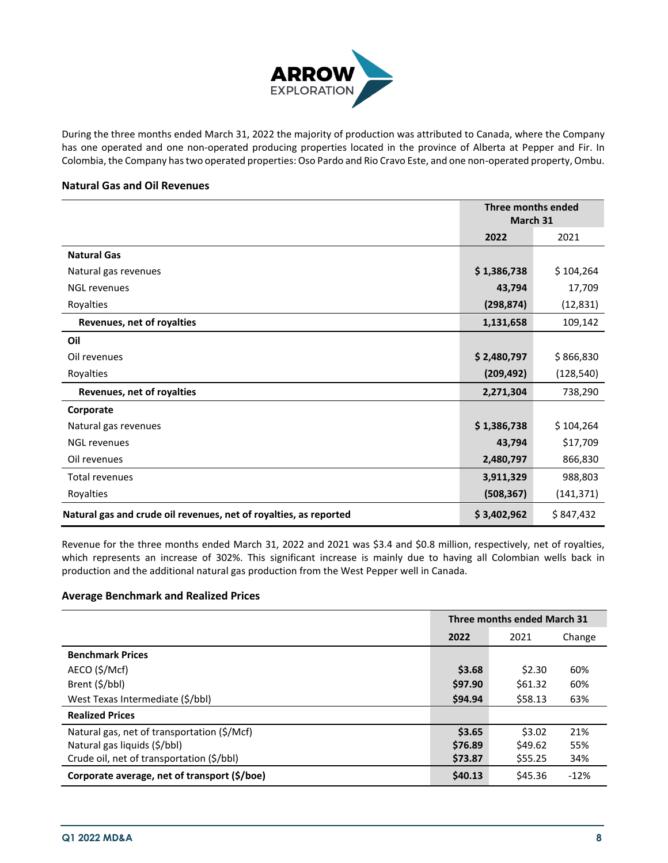

During the three months ended March 31, 2022 the majority of production was attributed to Canada, where the Company has one operated and one non-operated producing properties located in the province of Alberta at Pepper and Fir. In Colombia, the Company has two operated properties: Oso Pardo and Rio Cravo Este, and one non-operated property, Ombu.

## **Natural Gas and Oil Revenues**

|                                                                   | Three months ended |            |
|-------------------------------------------------------------------|--------------------|------------|
|                                                                   | March 31           |            |
|                                                                   | 2022<br>2021       |            |
| <b>Natural Gas</b>                                                |                    |            |
| Natural gas revenues                                              | \$1,386,738        | \$104,264  |
| <b>NGL revenues</b>                                               | 43,794             | 17,709     |
| Royalties                                                         | (298, 874)         | (12, 831)  |
| Revenues, net of royalties                                        | 1,131,658          | 109,142    |
| Oil                                                               |                    |            |
| Oil revenues                                                      | \$2,480,797        | \$866,830  |
| Royalties                                                         | (209, 492)         | (128, 540) |
| Revenues, net of royalties                                        | 2,271,304          | 738,290    |
| Corporate                                                         |                    |            |
| Natural gas revenues                                              | \$1,386,738        | \$104,264  |
| <b>NGL revenues</b>                                               | 43,794             | \$17,709   |
| Oil revenues                                                      | 2,480,797          | 866,830    |
| <b>Total revenues</b>                                             | 3,911,329          | 988,803    |
| Royalties                                                         | (508, 367)         | (141, 371) |
| Natural gas and crude oil revenues, net of royalties, as reported | \$3,402,962        | \$847,432  |

Revenue for the three months ended March 31, 2022 and 2021 was \$3.4 and \$0.8 million, respectively, net of royalties, which represents an increase of 302%. This significant increase is mainly due to having all Colombian wells back in production and the additional natural gas production from the West Pepper well in Canada.

## **Average Benchmark and Realized Prices**

|                                              | Three months ended March 31 |         |        |
|----------------------------------------------|-----------------------------|---------|--------|
|                                              | 2022                        | 2021    | Change |
| <b>Benchmark Prices</b>                      |                             |         |        |
| AECO (\$/Mcf)                                | \$3.68                      | \$2.30  | 60%    |
| Brent (\$/bbl)                               | \$97.90                     | \$61.32 | 60%    |
| West Texas Intermediate (\$/bbl)             | \$94.94                     | \$58.13 | 63%    |
| <b>Realized Prices</b>                       |                             |         |        |
| Natural gas, net of transportation (\$/Mcf)  | \$3.65                      | \$3.02  | 21%    |
| Natural gas liquids (\$/bbl)                 | \$76.89                     | \$49.62 | 55%    |
| Crude oil, net of transportation (\$/bbl)    | \$73.87                     | \$55.25 | 34%    |
| Corporate average, net of transport (\$/boe) | \$40.13                     | \$45.36 | $-12%$ |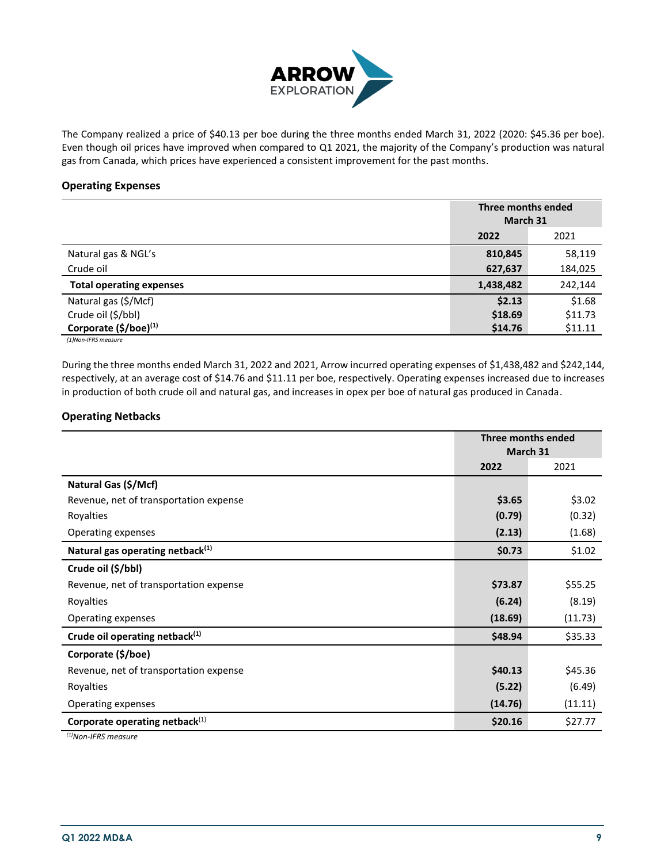

The Company realized a price of \$40.13 per boe during the three months ended March 31, 2022 (2020: \$45.36 per boe). Even though oil prices have improved when compared to Q1 2021, the majority of the Company's production was natural gas from Canada, which prices have experienced a consistent improvement for the past months.

## **Operating Expenses**

|                                 |           | Three months ended |  |
|---------------------------------|-----------|--------------------|--|
|                                 |           | March 31           |  |
|                                 | 2022      | 2021               |  |
| Natural gas & NGL's             | 810,845   | 58,119             |  |
| Crude oil                       | 627,637   | 184,025            |  |
| <b>Total operating expenses</b> | 1,438,482 | 242,144            |  |
| Natural gas (\$/Mcf)            | \$2.13    | \$1.68             |  |
| Crude oil (\$/bbl)              | \$18.69   | \$11.73            |  |
| Corporate $(\frac{5}{b})^{(1)}$ | \$14.76   | \$11.11            |  |
| (1)Non-IFRS measure             |           |                    |  |

During the three months ended March 31, 2022 and 2021, Arrow incurred operating expenses of \$1,438,482 and \$242,144, respectively, at an average cost of \$14.76 and \$11.11 per boe, respectively. Operating expenses increased due to increases in production of both crude oil and natural gas, and increases in opex per boe of natural gas produced in Canada.

# **Operating Netbacks**

|                                              | Three months ended<br>March 31 |         |
|----------------------------------------------|--------------------------------|---------|
|                                              | 2022                           | 2021    |
| Natural Gas (\$/Mcf)                         |                                |         |
| Revenue, net of transportation expense       | \$3.65                         | \$3.02  |
| Royalties                                    | (0.79)                         | (0.32)  |
| Operating expenses                           | (2.13)                         | (1.68)  |
| Natural gas operating netback <sup>(1)</sup> | \$0.73                         | \$1.02  |
| Crude oil (\$/bbl)                           |                                |         |
| Revenue, net of transportation expense       | \$73.87                        | \$55.25 |
| Royalties                                    | (6.24)                         | (8.19)  |
| Operating expenses                           | (18.69)                        | (11.73) |
| Crude oil operating netback <sup>(1)</sup>   | \$48.94                        | \$35.33 |
| Corporate (\$/boe)                           |                                |         |
| Revenue, net of transportation expense       | \$40.13                        | \$45.36 |
| Royalties                                    | (5.22)                         | (6.49)  |
| Operating expenses                           | (14.76)                        | (11.11) |
| Corporate operating netback <sup>(1)</sup>   | \$20.16                        | \$27.77 |

*(1)Non-IFRS measure*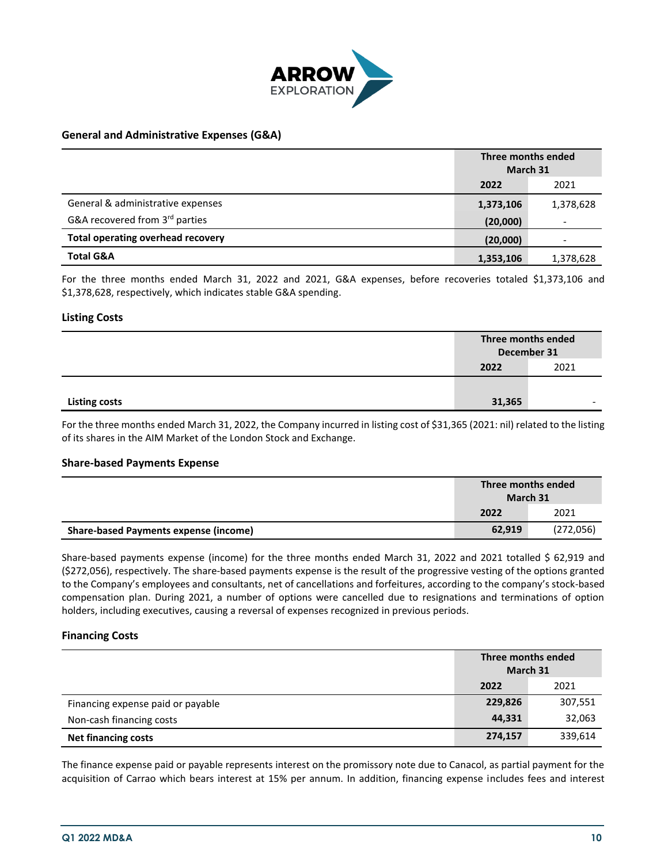

## **General and Administrative Expenses (G&A)**

|                                          | Three months ended<br>March 31 |           |
|------------------------------------------|--------------------------------|-----------|
|                                          | 2022<br>2021                   |           |
| General & administrative expenses        | 1,373,106                      | 1,378,628 |
| G&A recovered from 3rd parties           | (20,000)                       |           |
| <b>Total operating overhead recovery</b> | (20,000)                       |           |
| <b>Total G&amp;A</b>                     | 1,353,106                      | 1,378,628 |

For the three months ended March 31, 2022 and 2021, G&A expenses, before recoveries totaled \$1,373,106 and \$1,378,628, respectively, which indicates stable G&A spending.

## **Listing Costs**

|                      | Three months ended<br>December 31<br>2021<br>2022 |                          |
|----------------------|---------------------------------------------------|--------------------------|
|                      |                                                   |                          |
|                      |                                                   |                          |
| <b>Listing costs</b> | 31,365                                            | $\overline{\phantom{0}}$ |

For the three months ended March 31, 2022, the Company incurred in listing cost of \$31,365 (2021: nil) related to the listing of its shares in the AIM Market of the London Stock and Exchange.

#### **Share-based Payments Expense**

|                                              | Three months ended<br>March 31 |           |
|----------------------------------------------|--------------------------------|-----------|
|                                              | 2022                           | 2021      |
| <b>Share-based Payments expense (income)</b> | 62,919                         | (272,056) |

Share-based payments expense (income) for the three months ended March 31, 2022 and 2021 totalled \$ 62,919 and (\$272,056), respectively. The share-based payments expense is the result of the progressive vesting of the options granted to the Company's employees and consultants, net of cancellations and forfeitures, according to the company's stock-based compensation plan. During 2021, a number of options were cancelled due to resignations and terminations of option holders, including executives, causing a reversal of expenses recognized in previous periods.

## **Financing Costs**

|                                   | Three months ended<br>March 31 |         |  |
|-----------------------------------|--------------------------------|---------|--|
|                                   | 2021<br>2022                   |         |  |
| Financing expense paid or payable | 229,826                        | 307,551 |  |
| Non-cash financing costs          | 44,331                         | 32,063  |  |
| <b>Net financing costs</b>        | 274,157                        | 339,614 |  |

The finance expense paid or payable represents interest on the promissory note due to Canacol, as partial payment for the acquisition of Carrao which bears interest at 15% per annum. In addition, financing expense includes fees and interest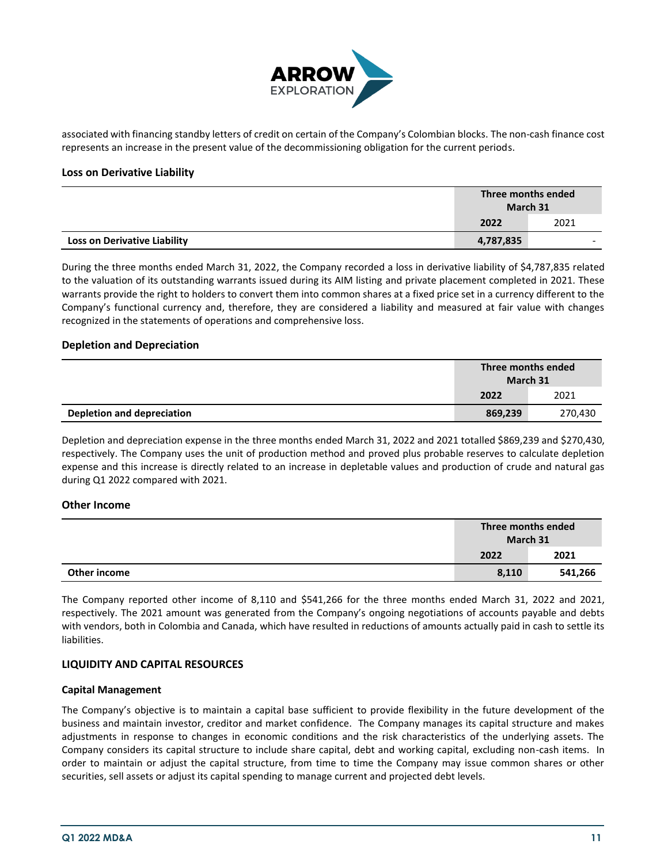

associated with financing standby letters of credit on certain of the Company's Colombian blocks. The non-cash finance cost represents an increase in the present value of the decommissioning obligation for the current periods.

## **Loss on Derivative Liability**

|                                     | Three months ended<br>March 31 |   |  |
|-------------------------------------|--------------------------------|---|--|
|                                     | 2021<br>2022                   |   |  |
| <b>Loss on Derivative Liability</b> | 4,787,835                      | - |  |

During the three months ended March 31, 2022, the Company recorded a loss in derivative liability of \$4,787,835 related to the valuation of its outstanding warrants issued during its AIM listing and private placement completed in 2021. These warrants provide the right to holders to convert them into common shares at a fixed price set in a currency different to the Company's functional currency and, therefore, they are considered a liability and measured at fair value with changes recognized in the statements of operations and comprehensive loss.

## **Depletion and Depreciation**

|                            | Three months ended<br>March 31 |         |  |
|----------------------------|--------------------------------|---------|--|
|                            | 2021<br>2022                   |         |  |
| Depletion and depreciation | 869,239                        | 270.430 |  |

Depletion and depreciation expense in the three months ended March 31, 2022 and 2021 totalled \$869,239 and \$270,430, respectively. The Company uses the unit of production method and proved plus probable reserves to calculate depletion expense and this increase is directly related to an increase in depletable values and production of crude and natural gas during Q1 2022 compared with 2021.

## **Other Income**

|              | Three months ended<br>March 31 |         |  |
|--------------|--------------------------------|---------|--|
|              | 2021<br>2022                   |         |  |
| Other income | 8,110                          | 541,266 |  |

The Company reported other income of 8,110 and \$541,266 for the three months ended March 31, 2022 and 2021, respectively. The 2021 amount was generated from the Company's ongoing negotiations of accounts payable and debts with vendors, both in Colombia and Canada, which have resulted in reductions of amounts actually paid in cash to settle its liabilities.

## **LIQUIDITY AND CAPITAL RESOURCES**

#### **Capital Management**

The Company's objective is to maintain a capital base sufficient to provide flexibility in the future development of the business and maintain investor, creditor and market confidence. The Company manages its capital structure and makes adjustments in response to changes in economic conditions and the risk characteristics of the underlying assets. The Company considers its capital structure to include share capital, debt and working capital, excluding non-cash items. In order to maintain or adjust the capital structure, from time to time the Company may issue common shares or other securities, sell assets or adjust its capital spending to manage current and projected debt levels.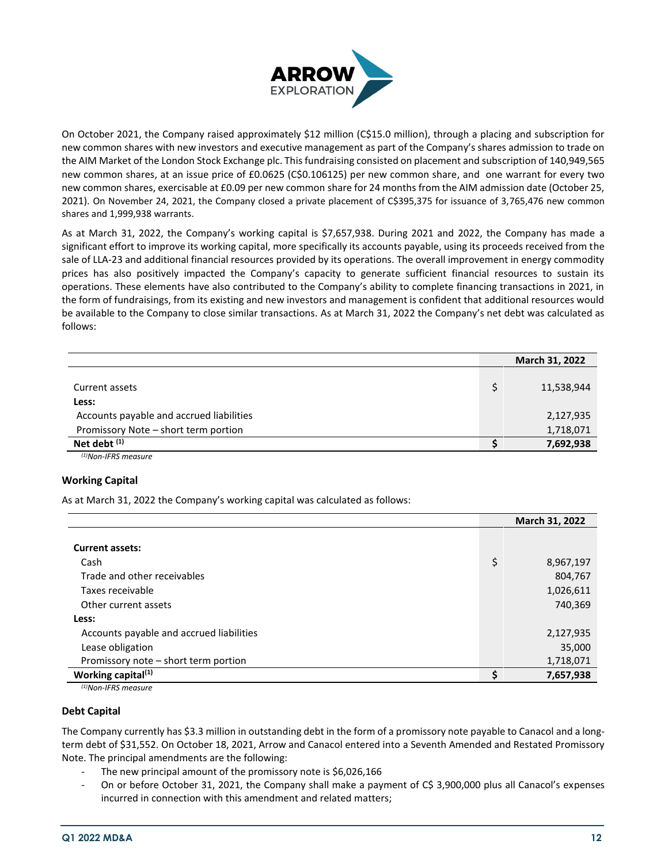

On October 2021, the Company raised approximately \$12 million (C\$15.0 million), through a placing and subscription for new common shares with new investors and executive management as part of the Company's shares admission to trade on the AIM Market of the London Stock Exchange plc. This fundraising consisted on placement and subscription of 140,949,565 new common shares, at an issue price of £0.0625 (C\$0.106125) per new common share, and one warrant for every two new common shares, exercisable at £0.09 per new common share for 24 months from the AIM admission date (October 25, 2021). On November 24, 2021, the Company closed a private placement of C\$395,375 for issuance of 3,765,476 new common shares and 1,999,938 warrants.

As at March 31, 2022, the Company's working capital is \$7,657,938. During 2021 and 2022, the Company has made a significant effort to improve its working capital, more specifically its accounts payable, using its proceeds received from the sale of LLA-23 and additional financial resources provided by its operations. The overall improvement in energy commodity prices has also positively impacted the Company's capacity to generate sufficient financial resources to sustain its operations. These elements have also contributed to the Company's ability to complete financing transactions in 2021, in the form of fundraisings, from its existing and new investors and management is confident that additional resources would be available to the Company to close similar transactions. As at March 31, 2022 the Company's net debt was calculated as follows:

|                                          | March 31, 2022 |
|------------------------------------------|----------------|
|                                          |                |
| Current assets                           | 11,538,944     |
| Less:                                    |                |
| Accounts payable and accrued liabilities | 2,127,935      |
| Promissory Note - short term portion     | 1,718,071      |
| Net debt <sup>(1)</sup>                  | 7,692,938      |
| $^{(1)}$ Non-IFRS measure                |                |

## **Working Capital**

As at March 31, 2022 the Company's working capital was calculated as follows:

|                                          | March 31, 2022  |
|------------------------------------------|-----------------|
|                                          |                 |
| <b>Current assets:</b>                   |                 |
| Cash                                     | \$<br>8,967,197 |
| Trade and other receivables              | 804,767         |
| Taxes receivable                         | 1,026,611       |
| Other current assets                     | 740,369         |
| Less:                                    |                 |
| Accounts payable and accrued liabilities | 2,127,935       |
| Lease obligation                         | 35,000          |
| Promissory note - short term portion     | 1,718,071       |
| Working capital $(1)$                    | 7,657,938       |

*(1)Non-IFRS measure*

## **Debt Capital**

The Company currently has \$3.3 million in outstanding debt in the form of a promissory note payable to Canacol and a longterm debt of \$31,552. On October 18, 2021, Arrow and Canacol entered into a Seventh Amended and Restated Promissory Note. The principal amendments are the following:

- The new principal amount of the promissory note is \$6,026,166
- On or before October 31, 2021, the Company shall make a payment of C\$ 3,900,000 plus all Canacol's expenses incurred in connection with this amendment and related matters;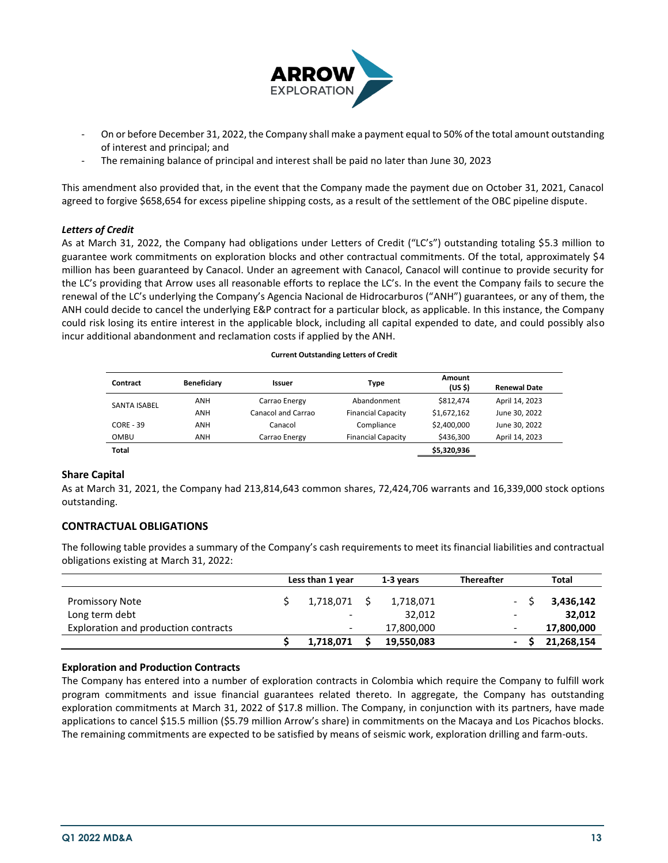

- On or before December 31, 2022, the Company shall make a payment equal to 50% of the total amount outstanding of interest and principal; and
- The remaining balance of principal and interest shall be paid no later than June 30, 2023

This amendment also provided that, in the event that the Company made the payment due on October 31, 2021, Canacol agreed to forgive \$658,654 for excess pipeline shipping costs, as a result of the settlement of the OBC pipeline dispute.

## *Letters of Credit*

As at March 31, 2022, the Company had obligations under Letters of Credit ("LC's") outstanding totaling \$5.3 million to guarantee work commitments on exploration blocks and other contractual commitments. Of the total, approximately \$4 million has been guaranteed by Canacol. Under an agreement with Canacol, Canacol will continue to provide security for the LC's providing that Arrow uses all reasonable efforts to replace the LC's. In the event the Company fails to secure the renewal of the LC's underlying the Company's Agencia Nacional de Hidrocarburos ("ANH") guarantees, or any of them, the ANH could decide to cancel the underlying E&P contract for a particular block, as applicable. In this instance, the Company could risk losing its entire interest in the applicable block, including all capital expended to date, and could possibly also incur additional abandonment and reclamation costs if applied by the ANH.

| Contract            | Beneficiary | <b>Issuer</b>      | Type                      | Amount<br>(US <sub>5</sub> ) | <b>Renewal Date</b> |
|---------------------|-------------|--------------------|---------------------------|------------------------------|---------------------|
| <b>SANTA ISABEL</b> | ANH         | Carrao Energy      | Abandonment               | \$812.474                    | April 14, 2023      |
|                     | ANH         | Canacol and Carrao | <b>Financial Capacity</b> | \$1,672,162                  | June 30, 2022       |
| <b>CORE - 39</b>    | ANH         | Canacol            | Compliance                | \$2,400,000                  | June 30, 2022       |
| OMBU                | ANH         | Carrao Energy      | <b>Financial Capacity</b> | \$436,300                    | April 14, 2023      |
| Total               |             |                    |                           | \$5,320,936                  |                     |

**Current Outstanding Letters of Credit**

#### **Share Capital**

As at March 31, 2021, the Company had 213,814,643 common shares, 72,424,706 warrants and 16,339,000 stock options outstanding.

## **CONTRACTUAL OBLIGATIONS**

The following table provides a summary of the Company's cash requirements to meet its financial liabilities and contractual obligations existing at March 31, 2022:

|                                      | Less than 1 year | 1-3 years  | <b>Thereafter</b> | Total      |
|--------------------------------------|------------------|------------|-------------------|------------|
| <b>Promissory Note</b>               | 1,718,071        | 1,718,071  |                   | 3,436,142  |
| Long term debt                       | -                | 32,012     | -                 | 32,012     |
| Exploration and production contracts | -                | 17,800,000 |                   | 17,800,000 |
|                                      | 1,718,071        | 19,550,083 |                   | 21,268,154 |

#### **Exploration and Production Contracts**

The Company has entered into a number of exploration contracts in Colombia which require the Company to fulfill work program commitments and issue financial guarantees related thereto. In aggregate, the Company has outstanding exploration commitments at March 31, 2022 of \$17.8 million. The Company, in conjunction with its partners, have made applications to cancel \$15.5 million (\$5.79 million Arrow's share) in commitments on the Macaya and Los Picachos blocks. The remaining commitments are expected to be satisfied by means of seismic work, exploration drilling and farm-outs.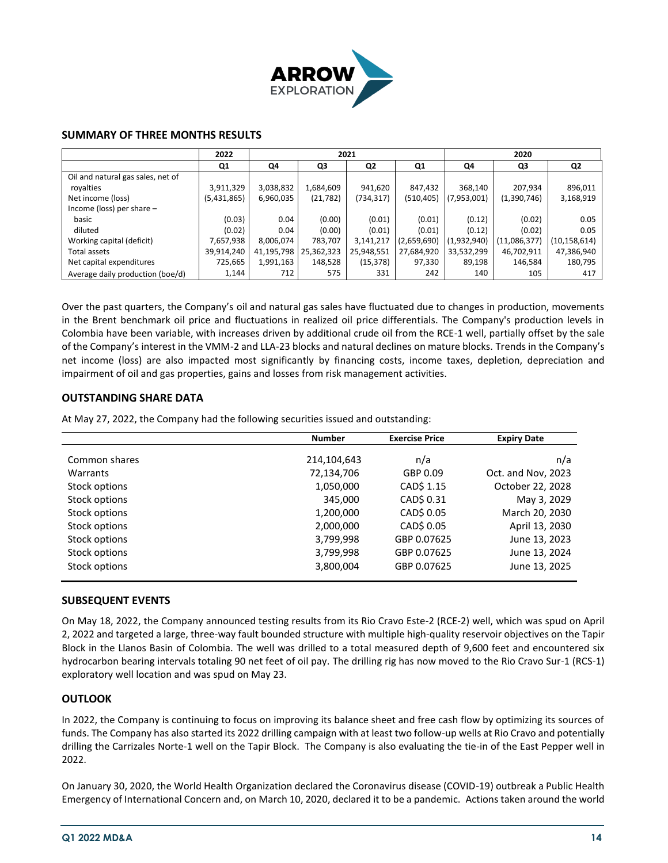

## **SUMMARY OF THREE MONTHS RESULTS**

|                                   | 2022        | 2021       |            |            |             |             | 2020         |                |
|-----------------------------------|-------------|------------|------------|------------|-------------|-------------|--------------|----------------|
|                                   | Q1          | Q4         | Q3         | Q2         | Q1          | Q4          | Q3           | Q2             |
| Oil and natural gas sales, net of |             |            |            |            |             |             |              |                |
| royalties                         | 3,911,329   | 3,038,832  | 1,684,609  | 941,620    | 847,432     | 368,140     | 207,934      | 896,011        |
| Net income (loss)                 | (5,431,865) | 6,960,035  | (21, 782)  | (734,317)  | (510,405)   | (7,953,001) | (1,390,746)  | 3,168,919      |
| Income (loss) per share $-$       |             |            |            |            |             |             |              |                |
| basic                             | (0.03)      | 0.04       | (0.00)     | (0.01)     | (0.01)      | (0.12)      | (0.02)       | 0.05           |
| diluted                           | (0.02)      | 0.04       | (0.00)     | (0.01)     | (0.01)      | (0.12)      | (0.02)       | 0.05           |
| Working capital (deficit)         | 7,657,938   | 8,006,074  | 783,707    | 3,141,217  | (2,659,690) | (1,932,940) | (11,086,377) | (10, 158, 614) |
| Total assets                      | 39,914,240  | 41,195,798 | 25,362,323 | 25,948,551 | 27,684,920  | 33,532,299  | 46,702,911   | 47,386,940     |
| Net capital expenditures          | 725,665     | 1,991,163  | 148,528    | (15, 378)  | 97,330      | 89,198      | 146.584      | 180,795        |
| Average daily production (boe/d)  | 1,144       | 712        | 575        | 331        | 242         | 140         | 105          | 417            |

Over the past quarters, the Company's oil and natural gas sales have fluctuated due to changes in production, movements in the Brent benchmark oil price and fluctuations in realized oil price differentials. The Company's production levels in Colombia have been variable, with increases driven by additional crude oil from the RCE-1 well, partially offset by the sale of the Company's interest in the VMM-2 and LLA-23 blocks and natural declines on mature blocks. Trends in the Company's net income (loss) are also impacted most significantly by financing costs, income taxes, depletion, depreciation and impairment of oil and gas properties, gains and losses from risk management activities.

## **OUTSTANDING SHARE DATA**

At May 27, 2022, the Company had the following securities issued and outstanding:

|               | <b>Number</b> | <b>Exercise Price</b> | <b>Expiry Date</b> |
|---------------|---------------|-----------------------|--------------------|
| Common shares | 214,104,643   | n/a                   | n/a                |
| Warrants      | 72,134,706    | GBP 0.09              | Oct. and Nov, 2023 |
| Stock options | 1,050,000     | CAD\$ 1.15            | October 22, 2028   |
| Stock options | 345,000       | CAD\$ 0.31            | May 3, 2029        |
| Stock options | 1,200,000     | CAD\$ 0.05            | March 20, 2030     |
| Stock options | 2,000,000     | CAD\$ 0.05            | April 13, 2030     |
| Stock options | 3,799,998     | GBP 0.07625           | June 13, 2023      |
| Stock options | 3,799,998     | GBP 0.07625           | June 13, 2024      |
| Stock options | 3,800,004     | GBP 0.07625           | June 13, 2025      |

## **SUBSEQUENT EVENTS**

On May 18, 2022, the Company announced testing results from its Rio Cravo Este-2 (RCE-2) well, which was spud on April 2, 2022 and targeted a large, three-way fault bounded structure with multiple high-quality reservoir objectives on the Tapir Block in the Llanos Basin of Colombia. The well was drilled to a total measured depth of 9,600 feet and encountered six hydrocarbon bearing intervals totaling 90 net feet of oil pay. The drilling rig has now moved to the Rio Cravo Sur-1 (RCS-1) exploratory well location and was spud on May 23.

#### **OUTLOOK**

In 2022, the Company is continuing to focus on improving its balance sheet and free cash flow by optimizing its sources of funds. The Company has also started its 2022 drilling campaign with at least two follow-up wells at Rio Cravo and potentially drilling the Carrizales Norte-1 well on the Tapir Block. The Company is also evaluating the tie-in of the East Pepper well in 2022.

On January 30, 2020, the World Health Organization declared the Coronavirus disease (COVID-19) outbreak a Public Health Emergency of International Concern and, on March 10, 2020, declared it to be a pandemic. Actions taken around the world